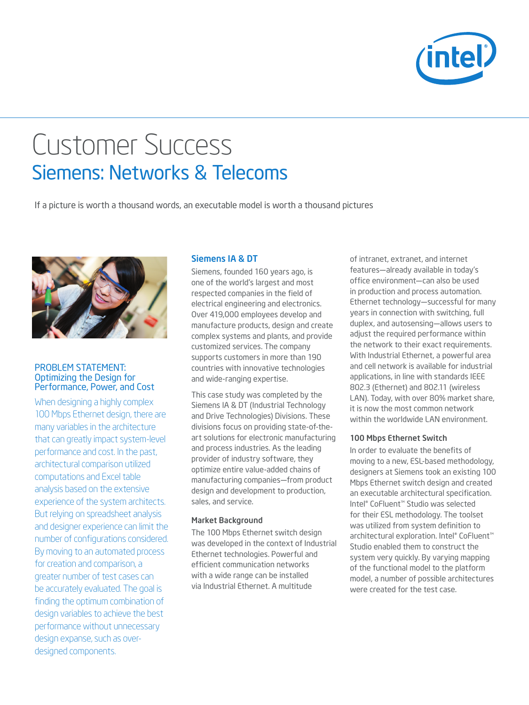

# Customer Success Siemens: Networks & Telecoms

If a picture is worth a thousand words, an executable model is worth a thousand pictures



#### PROBLEM STATEMENT: Optimizing the Design for Performance, Power, and Cost

When designing a highly complex 100 Mbps Ethernet design, there are many variables in the architecture that can greatly impact system-level performance and cost. In the past, architectural comparison utilized computations and Excel table analysis based on the extensive experience of the system architects. But relying on spreadsheet analysis and designer experience can limit the number of configurations considered. By moving to an automated process for creation and comparison, a greater number of test cases can be accurately evaluated. The goal is finding the optimum combination of design variables to achieve the best performance without unnecessary design expanse, such as overdesigned components.

# Siemens IA & DT

Siemens, founded 160 years ago, is one of the world's largest and most respected companies in the field of electrical engineering and electronics. Over 419,000 employees develop and manufacture products, design and create complex systems and plants, and provide customized services. The company supports customers in more than 190 countries with innovative technologies and wide-ranging expertise.

This case study was completed by the Siemens IA & DT (Industrial Technology and Drive Technologies) Divisions. These divisions focus on providing state-of-theart solutions for electronic manufacturing and process industries. As the leading provider of industry software, they optimize entire value-added chains of manufacturing companies—from product design and development to production, sales, and service.

#### Market Background

The 100 Mbps Ethernet switch design was developed in the context of Industrial Ethernet technologies. Powerful and efficient communication networks with a wide range can be installed via Industrial Ethernet. A multitude

of intranet, extranet, and internet features—already available in today's office environment—can also be used in production and process automation. Ethernet technology—successful for many years in connection with switching, full duplex, and autosensing—allows users to adjust the required performance within the network to their exact requirements. With Industrial Ethernet, a powerful area and cell network is available for industrial applications, in line with standards IEEE 802.3 (Ethernet) and 802.11 (wireless LAN). Today, with over 80% market share, it is now the most common network within the worldwide LAN environment.

### 100 Mbps Ethernet Switch

In order to evaluate the benefits of moving to a new, ESL-based methodology, designers at Siemens took an existing 100 Mbps Ethernet switch design and created an executable architectural specification. Intel® CoFluent™ Studio was selected for their ESL methodology. The toolset was utilized from system definition to architectural exploration. Intel® CoFluent™ Studio enabled them to construct the system very quickly. By varying mapping of the functional model to the platform model, a number of possible architectures were created for the test case.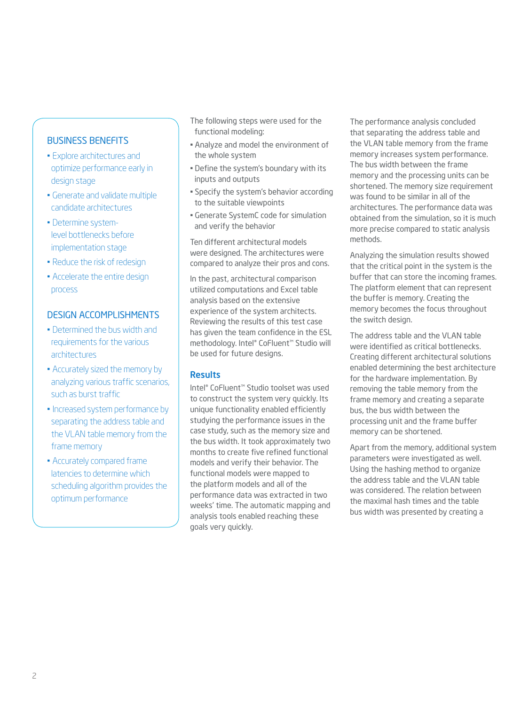# Business Benefits

- Explore architectures and optimize performance early in design stage
- Generate and validate multiple candidate architectures
- Determine systemlevel bottlenecks before implementation stage
- Reduce the risk of redesign
- Accelerate the entire design process

# Design accomplishments

- Determined the bus width and requirements for the various architectures
- Accurately sized the memory by analyzing various traffic scenarios, such as burst traffic
- Increased system performance by separating the address table and the VLAN table memory from the frame memory
- Accurately compared frame latencies to determine which scheduling algorithm provides the optimum performance
- The following steps were used for the functional modeling:
- Analyze and model the environment of the whole system
- Define the system's boundary with its inputs and outputs
- Specify the system's behavior according to the suitable viewpoints
- Generate SystemC code for simulation and verify the behavior

Ten different architectural models were designed. The architectures were compared to analyze their pros and cons.

In the past, architectural comparison utilized computations and Excel table analysis based on the extensive experience of the system architects. Reviewing the results of this test case has given the team confidence in the ESL methodology. Intel® CoFluent™ Studio will be used for future designs.

## Results

Intel® CoFluent™ Studio toolset was used to construct the system very quickly. Its unique functionality enabled efficiently studying the performance issues in the case study, such as the memory size and the bus width. It took approximately two months to create five refined functional models and verify their behavior. The functional models were mapped to the platform models and all of the performance data was extracted in two weeks' time. The automatic mapping and analysis tools enabled reaching these goals very quickly.

The performance analysis concluded that separating the address table and the VLAN table memory from the frame memory increases system performance. The bus width between the frame memory and the processing units can be shortened. The memory size requirement was found to be similar in all of the architectures. The performance data was obtained from the simulation, so it is much more precise compared to static analysis methods.

Analyzing the simulation results showed that the critical point in the system is the buffer that can store the incoming frames. The platform element that can represent the buffer is memory. Creating the memory becomes the focus throughout the switch design.

The address table and the VLAN table were identified as critical bottlenecks. Creating different architectural solutions enabled determining the best architecture for the hardware implementation. By removing the table memory from the frame memory and creating a separate bus, the bus width between the processing unit and the frame buffer memory can be shortened.

Apart from the memory, additional system parameters were investigated as well. Using the hashing method to organize the address table and the VLAN table was considered. The relation between the maximal hash times and the table bus width was presented by creating a